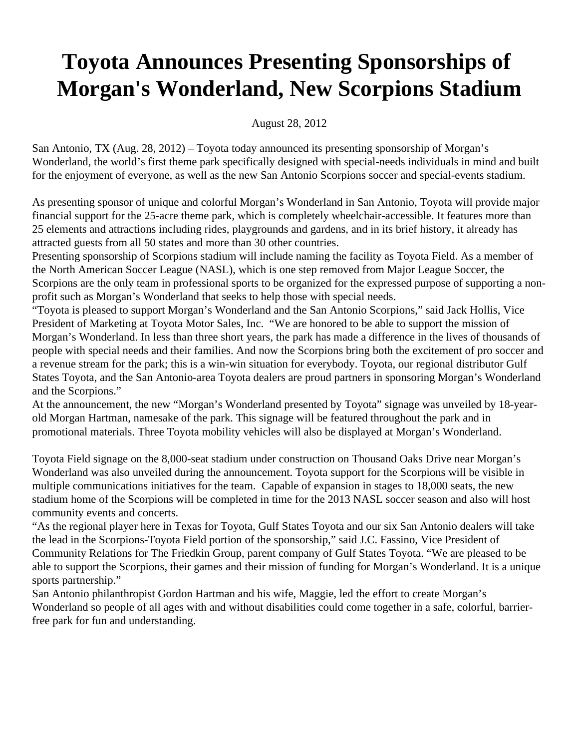## **Toyota Announces Presenting Sponsorships of Morgan's Wonderland, New Scorpions Stadium**

August 28, 2012

San Antonio, TX (Aug. 28, 2012) – Toyota today announced its presenting sponsorship of Morgan's Wonderland, the world's first theme park specifically designed with special-needs individuals in mind and built for the enjoyment of everyone, as well as the new San Antonio Scorpions soccer and special-events stadium.

As presenting sponsor of unique and colorful Morgan's Wonderland in San Antonio, Toyota will provide major financial support for the 25-acre theme park, which is completely wheelchair-accessible. It features more than 25 elements and attractions including rides, playgrounds and gardens, and in its brief history, it already has attracted guests from all 50 states and more than 30 other countries.

Presenting sponsorship of Scorpions stadium will include naming the facility as Toyota Field. As a member of the North American Soccer League (NASL), which is one step removed from Major League Soccer, the Scorpions are the only team in professional sports to be organized for the expressed purpose of supporting a nonprofit such as Morgan's Wonderland that seeks to help those with special needs.

"Toyota is pleased to support Morgan's Wonderland and the San Antonio Scorpions," said Jack Hollis, Vice President of Marketing at Toyota Motor Sales, Inc. "We are honored to be able to support the mission of Morgan's Wonderland. In less than three short years, the park has made a difference in the lives of thousands of people with special needs and their families. And now the Scorpions bring both the excitement of pro soccer and a revenue stream for the park; this is a win-win situation for everybody. Toyota, our regional distributor Gulf States Toyota, and the San Antonio-area Toyota dealers are proud partners in sponsoring Morgan's Wonderland and the Scorpions."

At the announcement, the new "Morgan's Wonderland presented by Toyota" signage was unveiled by 18-yearold Morgan Hartman, namesake of the park. This signage will be featured throughout the park and in promotional materials. Three Toyota mobility vehicles will also be displayed at Morgan's Wonderland.

Toyota Field signage on the 8,000-seat stadium under construction on Thousand Oaks Drive near Morgan's Wonderland was also unveiled during the announcement. Toyota support for the Scorpions will be visible in multiple communications initiatives for the team. Capable of expansion in stages to 18,000 seats, the new stadium home of the Scorpions will be completed in time for the 2013 NASL soccer season and also will host community events and concerts.

"As the regional player here in Texas for Toyota, Gulf States Toyota and our six San Antonio dealers will take the lead in the Scorpions-Toyota Field portion of the sponsorship," said J.C. Fassino, Vice President of Community Relations for The Friedkin Group, parent company of Gulf States Toyota. "We are pleased to be able to support the Scorpions, their games and their mission of funding for Morgan's Wonderland. It is a unique sports partnership."

San Antonio philanthropist Gordon Hartman and his wife, Maggie, led the effort to create Morgan's Wonderland so people of all ages with and without disabilities could come together in a safe, colorful, barrierfree park for fun and understanding.